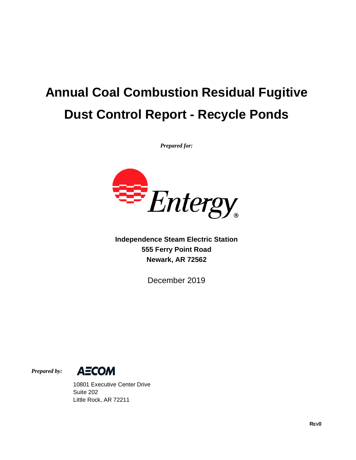# **Annual Coal Combustion Residual Fugitive Dust Control Report - Recycle Ponds**

*Prepared for:*



**Independence Steam Electric Station 555 Ferry Point Road Newark, AR 72562**

December 2019

*Prepared by:*



10801 Executive Center Drive Suite 202 Little Rock, AR 72211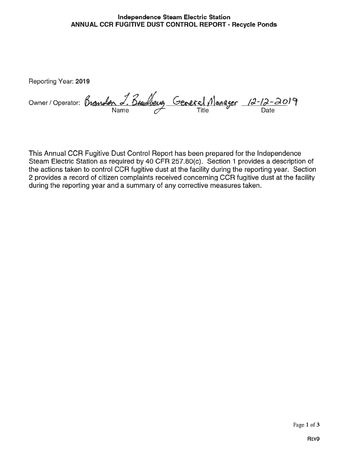#### Independence Steam Electric Station ANNUAL CCR FUGITIVE DUST CONTROL REPORT - Recycle Ponds

Reporting Year: 2019

Owner/Operator: *Brandon J. Budbeug* General Manager 12-12-2019

This Annual OCR Fugitive Dust Control Report has been prepared for the Independence Steam Electric Station as required by 40 CFR 257.80(c). Section <sup>1</sup> provides a description of the actions taken to control OCR fugitive dust at the facility during the reporting year. Section 2 provides a record of citizen complaints received concerning OCR fugitive dust at the facility during the reporting year and a summary of any corrective measures taken.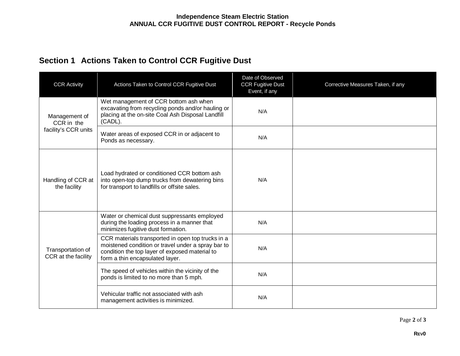## **Section 1 Actions Taken to Control CCR Fugitive Dust**

| <b>CCR Activity</b>                                 | Actions Taken to Control CCR Fugitive Dust                                                                                                                                                   | Date of Observed<br><b>CCR Fugitive Dust</b><br>Event, if any | Corrective Measures Taken, if any |
|-----------------------------------------------------|----------------------------------------------------------------------------------------------------------------------------------------------------------------------------------------------|---------------------------------------------------------------|-----------------------------------|
| Management of<br>CCR in the<br>facility's CCR units | Wet management of CCR bottom ash when<br>excavating from recycling ponds and/or hauling or<br>placing at the on-site Coal Ash Disposal Landfill<br>(CADL).                                   | N/A                                                           |                                   |
|                                                     | Water areas of exposed CCR in or adjacent to<br>Ponds as necessary.                                                                                                                          | N/A                                                           |                                   |
| Handling of CCR at<br>the facility                  | Load hydrated or conditioned CCR bottom ash<br>into open-top dump trucks from dewatering bins<br>for transport to landfills or offsite sales.                                                | N/A                                                           |                                   |
|                                                     | Water or chemical dust suppressants employed<br>during the loading process in a manner that<br>minimizes fugitive dust formation.                                                            | N/A                                                           |                                   |
| Transportation of<br>CCR at the facility            | CCR materials transported in open top trucks in a<br>moistened condition or travel under a spray bar to<br>condition the top layer of exposed material to<br>form a thin encapsulated layer. | N/A                                                           |                                   |
|                                                     | The speed of vehicles within the vicinity of the<br>ponds is limited to no more than 5 mph.                                                                                                  | N/A                                                           |                                   |
|                                                     | Vehicular traffic not associated with ash<br>management activities is minimized.                                                                                                             | N/A                                                           |                                   |